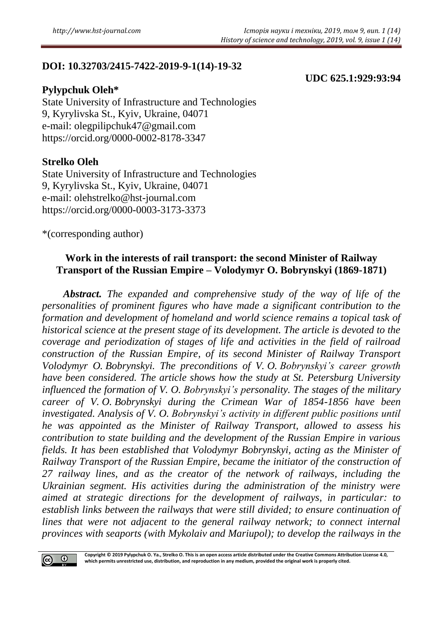# **DOI: 10.32703/2415-7422-2019-9-1(14)-19-32**

### **Pylypchuk Oleh\***

**UDC 625.1:929:93:94**

State University of Infrastructure and Technologies 9, Kyrylivska St., Kyiv, Ukraine, 04071 e-mail: [olegpilipchuk47@gmail.com](mailto:olegpilipchuk47@gmail.com) <https://orcid.org/0000-0002-8178-3347>

## **Strelko Oleh**

State University of Infrastructure and Technologies 9, Kyrylivska St., Kyiv, Ukraine, 04071 e-mail: [olehs](mailto:olehgpilipchuk47@gmail.com)trelko@hst-journal.com <https://orcid.org/0000-0003-3173-3373>

\*(corresponding author)

# **Work in the interests of rail transport: the second Minister of Railway Transport of the Russian Empire – Volodymyr O. Bobrynskyi (1869-1871)**

*Abstract. The expanded and comprehensive study of the way of life of the personalities of prominent figures who have made a significant contribution to the formation and development of homeland and world science remains a topical task of historical science at the present stage of its development. The article is devoted to the coverage and periodization of stages of life and activities in the field of railroad construction of the Russian Empire, of its second Minister of Railway Transport Volodymyr O. Bobrynskyi. The preconditions of V. O. Bobrynskyi's career growth have been considered. The article shows how the study at St. Petersburg University influenced the formation of V. O. Bobrynskyi's personality. The stages of the military career of V. O. Bobrynskyi during the Crimean War of 1854-1856 have been investigated. Analysis of V. O. Bobrynskyi's activity in different public positions until he was appointed as the Minister of Railway Transport, allowed to assess his contribution to state building and the development of the Russian Empire in various fields. It has been established that Volodymyr Bobrynskyi, acting as the Minister of Railway Transport of the Russian Empire, became the initiator of the construction of 27 railway lines, and as the creator of the network of railways, including the Ukrainian segment. His activities during the administration of the ministry were aimed at strategic directions for the development of railways, in particular: to establish links between the railways that were still divided; to ensure continuation of lines that were not adjacent to the general railway network; to connect internal provinces with seaports (with Mykolaiv and Mariupol); to develop the railways in the* 



**Copyright © 2019 Pylypchuk O. Ya., Strelko O. This is an open access article distributed under the Creative Commons Attribution License 4.0, which permits unrestricted use, distribution, and reproduction in any medium, provided the original work is properly cited.**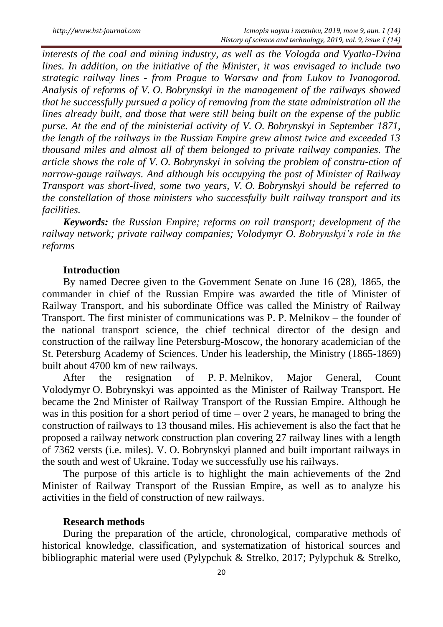*interests of the coal and mining industry, as well as the Vologda and Vyatka-Dvina lines. In addition, on the initiative of the Minister, it was envisaged to include two strategic railway lines - from Prague to Warsaw and from Lukov to Ivanogorod. Analysis of reforms of V. O. Bobrynskyi in the management of the railways showed that he successfully pursued a policy of removing from the state administration all the lines already built, and those that were still being built on the expense of the public purse. At the end of the ministerial activity of V. O. Bobrynskyi in September 1871, the length of the railways in the Russian Empire grew almost twice and exceeded 13 thousand miles and almost all of them belonged to private railway companies. The article shows the role of V. O. Bobrynskyi in solving the problem of constru-ction of narrow-gauge railways. And although his occupying the post of Minister of Railway Transport was short-lived, some two years, V. O. Bobrynskyi should be referred to the constellation of those ministers who successfully built railway transport and its facilities.*

*Keywords: the Russian Empire; reforms on rail transport; development of the railway network; private railway companies; Volodymyr O. Bobrynskyi's role in the reforms* 

#### **Introduction**

By named Decree given to the Government Senate on June 16 (28), 1865, the commander in chief of the Russian Empire was awarded the title of Minister of Railway Transport, and his subordinate Office was called the Ministry of Railway Transport. The first minister of communications was P. P. Melnikov – the founder of the national transport science, the chief technical director of the design and construction of the railway line Petersburg-Moscow, the honorary academician of the St. Petersburg Academy of Sciences. Under his leadership, the Ministry (1865-1869) built about 4700 km of new railways.

After the resignation of P. P. Melnikov, Major General, Count Volodymyr O. Bobrynskyi was appointed as the Minister of Railway Transport. He became the 2nd Minister of Railway Transport of the Russian Empire. Although he was in this position for a short period of time – over 2 years, he managed to bring the construction of railways to 13 thousand miles. His achievement is also the fact that he proposed a railway network construction plan covering 27 railway lines with a length of 7362 versts (i.e. miles). V. O. Bobrynskyi planned and built important railways in the south and west of Ukraine. Today we successfully use his railways.

The purpose of this article is to highlight the main achievements of the 2nd Minister of Railway Transport of the Russian Empire, as well as to analyze his activities in the field of construction of new railways.

#### **Research methods**

During the preparation of the article, chronological, comparative methods of historical knowledge, classification, and systematization of historical sources and bibliographic material were used (Pylypchuk & Strelko, 2017; Pylypchuk & Strelko,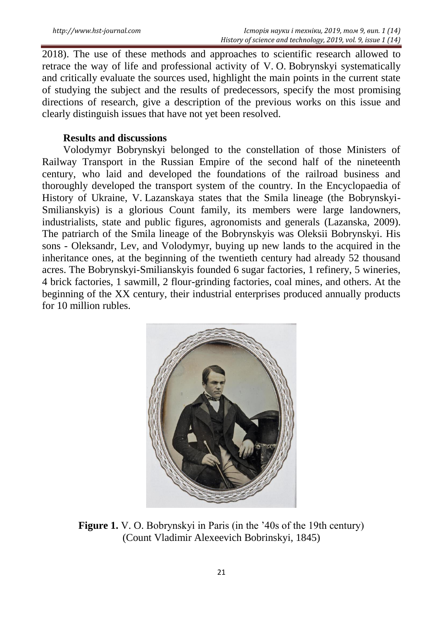2018). The use of these methods and approaches to scientific research allowed to retrace the way of life and professional activity of V. O. Bobrynskyi systematically and critically evaluate the sources used, highlight the main points in the current state of studying the subject and the results of predecessors, specify the most promising directions of research, give a description of the previous works on this issue and clearly distinguish issues that have not yet been resolved.

### **Results and discussions**

Volodymyr Bobrynskyi belonged to the constellation of those Ministers of Railway Transport in the Russian Empire of the second half of the nineteenth century, who laid and developed the foundations of the railroad business and thoroughly developed the transport system of the country. In the Encyclopaedia of History of Ukraine, V. Lazanskaya states that the Smila lineage (the Bobrynskyi-Smilianskyis) is a glorious Count family, its members were large landowners, industrialists, state and public figures, agronomists and generals (Lazanska, 2009). The patriarch of the Smila lineage of the Bobrynskyis was Oleksii Bobrynskyi. His sons - Oleksandr, Lev, and Volodymyr, buying up new lands to the acquired in the inheritance ones, at the beginning of the twentieth century had already 52 thousand acres. The Bobrynskyi-Smilianskyis founded 6 sugar factories, 1 refinery, 5 wineries, 4 brick factories, 1 sawmill, 2 flour-grinding factories, coal mines, and others. At the beginning of the XX century, their industrial enterprises produced annually products for 10 million rubles.



**Figure 1.** V. O. Bobrynskyi in Paris (in the '40s of the 19th century) (Count Vladimir Alexeevich Bobrinskyi, 1845)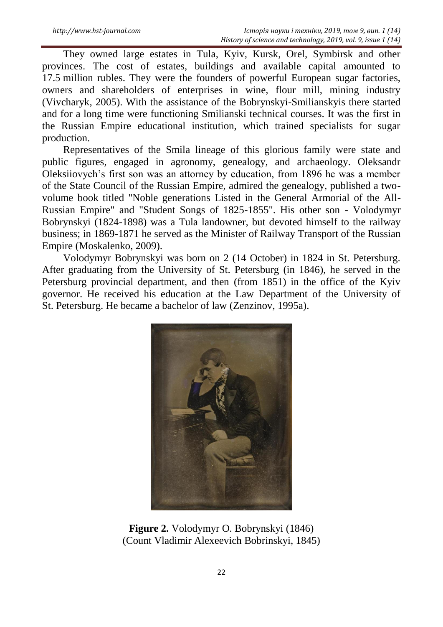They owned large estates in Tula, Kyiv, Kursk, Orel, Symbirsk and other provinces. The cost of estates, buildings and available capital amounted to 17.5 million rubles. They were the founders of powerful European sugar factories, owners and shareholders of enterprises in wine, flour mill, mining industry (Vivcharyk, 2005). With the assistance of the Bobrynskyi-Smilianskyis there started and for a long time were functioning Smilianski technical courses. It was the first in the Russian Empire educational institution, which trained specialists for sugar production.

Representatives of the Smila lineage of this glorious family were state and public figures, engaged in agronomy, genealogy, and archaeology. Oleksandr Oleksiiovych"s first son was an attorney by education, from 1896 he was a member of the State Council of the Russian Empire, admired the genealogy, published a twovolume book titled "Noble generations Listed in the General Armorial of the All-Russian Empire" and "Student Songs of 1825-1855". His other son - Volodymyr Bobrynskyi (1824-1898) was a Tula landowner, but devoted himself to the railway business; in 1869-1871 he served as the Minister of Railway Transport of the Russian Empire (Moskalenko, 2009).

Volodymyr Bobrynskyi was born on 2 (14 October) in 1824 in St. Petersburg. After graduating from the University of St. Petersburg (in 1846), he served in the Petersburg provincial department, and then (from 1851) in the office of the Kyiv governor. He received his education at the Law Department of the University of St. Petersburg. He became a bachelor of law (Zenzinov, 1995a).



**Figure 2.** Volodymyr O. Bobrynskyi (1846) (Count Vladimir Alexeevich Bobrinskyi, 1845)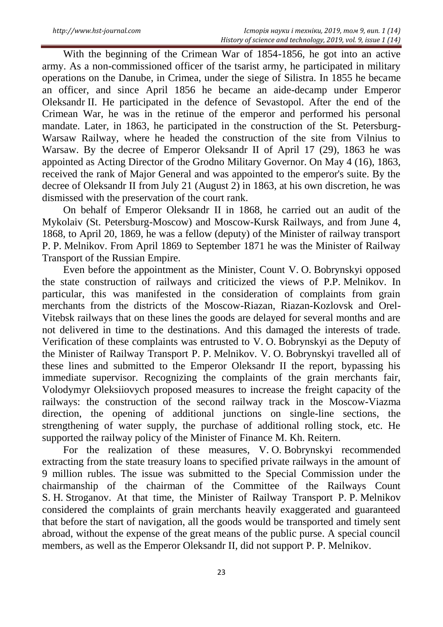With the beginning of the Crimean War of 1854-1856, he got into an active army. As a non-commissioned officer of the tsarist army, he participated in military operations on the Danube, in Crimea, under the siege of Silistra. In 1855 he became an officer, and since April 1856 he became an aide-decamp under Emperor Oleksandr II. He participated in the defence of Sevastopol. After the end of the Crimean War, he was in the retinue of the emperor and performed his personal mandate. Later, in 1863, he participated in the construction of the St. Petersburg-Warsaw Railway, where he headed the construction of the site from Vilnius to Warsaw. By the decree of Emperor Oleksandr II of April 17 (29), 1863 he was appointed as Acting Director of the Grodno Military Governor. On May 4 (16), 1863, received the rank of Major General and was appointed to the emperor's suite. By the decree of Oleksandr II from July 21 (August 2) in 1863, at his own discretion, he was dismissed with the preservation of the court rank.

On behalf of Emperor Oleksandr II in 1868, he carried out an audit of the Mykolaiv (St. Petersburg-Moscow) and Moscow-Kursk Railways, and from June 4, 1868, to April 20, 1869, he was a fellow (deputy) of the Minister of railway transport P. P. Melnikov. From April 1869 to September 1871 he was the Minister of Railway Transport of the Russian Empire.

Even before the appointment as the Minister, Count V. O. Bobrynskyi opposed the state construction of railways and criticized the views of P.P. Melnikov. In particular, this was manifested in the consideration of complaints from grain merchants from the districts of the Moscow-Riazan, Riazan-Kozlovsk and Orel-Vitebsk railways that on these lines the goods are delayed for several months and are not delivered in time to the destinations. And this damaged the interests of trade. Verification of these complaints was entrusted to V. O. Bobrynskyi as the Deputy of the Minister of Railway Transport P. P. Melnikov. V. O. Bobrynskyi travelled all of these lines and submitted to the Emperor Oleksandr II the report, bypassing his immediate supervisor. Recognizing the complaints of the grain merchants fair, Volodymyr Oleksiiovych proposed measures to increase the freight capacity of the railways: the construction of the second railway track in the Moscow-Viazma direction, the opening of additional junctions on single-line sections, the strengthening of water supply, the purchase of additional rolling stock, etc. He supported the railway policy of the Minister of Finance M. Kh. Reitern.

For the realization of these measures, V. O. Bobrynskyi recommended extracting from the state treasury loans to specified private railways in the amount of 9 million rubles. The issue was submitted to the Special Commission under the chairmanship of the chairman of the Committee of the Railways Count S. H. Stroganov. At that time, the Minister of Railway Transport P. P. Melnikov considered the complaints of grain merchants heavily exaggerated and guaranteed that before the start of navigation, all the goods would be transported and timely sent abroad, without the expense of the great means of the public purse. A special council members, as well as the Emperor Oleksandr II, did not support P. P. Melnikov.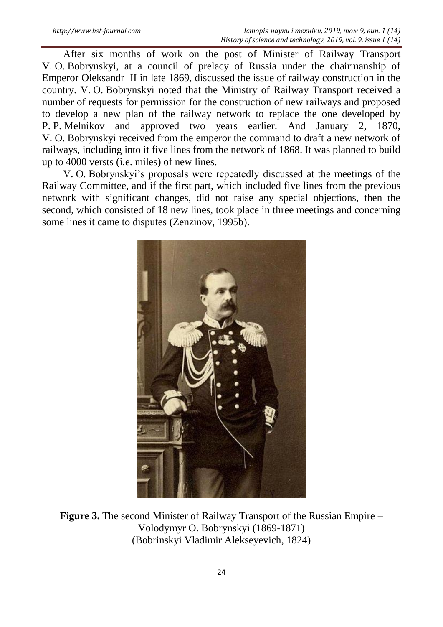After six months of work on the post of Minister of Railway Transport V. O. Bobrynskyi, at a council of prelacy of Russia under the chairmanship of Emperor Oleksandr II in late 1869, discussed the issue of railway construction in the country. V. O. Bobrynskyi noted that the Ministry of Railway Transport received a number of requests for permission for the construction of new railways and proposed to develop a new plan of the railway network to replace the one developed by P. P. Melnikov and approved two years earlier. And January 2, 1870, V. O. Bobrynskyi received from the emperor the command to draft a new network of railways, including into it five lines from the network of 1868. It was planned to build up to 4000 versts (i.e. miles) of new lines.

V. O. Bobrynskyi"s proposals were repeatedly discussed at the meetings of the Railway Committee, and if the first part, which included five lines from the previous network with significant changes, did not raise any special objections, then the second, which consisted of 18 new lines, took place in three meetings and concerning some lines it came to disputes (Zenzinov, 1995b).



**Figure 3.** The second Minister of Railway Transport of the Russian Empire – Volodymyr O. Bobrynskyi (1869-1871) (Bobrinskyi Vladimir Alekseyevich, 1824)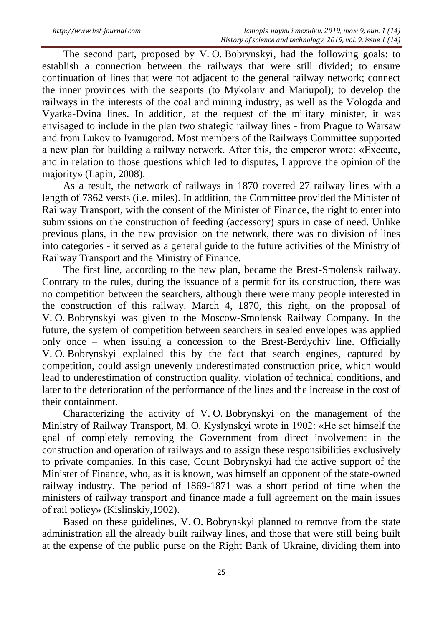The second part, proposed by V. O. Bobrynskyi, had the following goals: to establish a connection between the railways that were still divided; to ensure continuation of lines that were not adjacent to the general railway network; connect the inner provinces with the seaports (to Mykolaiv and Mariupol); to develop the railways in the interests of the coal and mining industry, as well as the Vologda and Vyatka-Dvina lines. In addition, at the request of the military minister, it was envisaged to include in the plan two strategic railway lines - from Prague to Warsaw and from Lukov to Ivanugorod. Most members of the Railways Committee supported a new plan for building a railway network. After this, the emperor wrote: «Execute, and in relation to those questions which led to disputes, I approve the opinion of the majority» (Lapіn, 2008).

As a result, the network of railways in 1870 covered 27 railway lines with a length of 7362 versts (i.e. miles). In addition, the Committee provided the Minister of Railway Transport, with the consent of the Minister of Finance, the right to enter into submissions on the construction of feeding (accessory) spurs in case of need. Unlike previous plans, in the new provision on the network, there was no division of lines into categories - it served as a general guide to the future activities of the Ministry of Railway Transport and the Ministry of Finance.

The first line, according to the new plan, became the Brest-Smolensk railway. Contrary to the rules, during the issuance of a permit for its construction, there was no competition between the searchers, although there were many people interested in the construction of this railway. March 4, 1870, this right, on the proposal of V. O. Bobrynskyi was given to the Moscow-Smolensk Railway Company. In the future, the system of competition between searchers in sealed envelopes was applied only once – when issuing a concession to the Brest-Berdychiv line. Officially V. O. Bobrynskyi explained this by the fact that search engines, captured by competition, could assign unevenly underestimated construction price, which would lead to underestimation of construction quality, violation of technical conditions, and later to the deterioration of the performance of the lines and the increase in the cost of their containment.

Characterizing the activity of V. O. Bobrynskyi on the management of the Ministry of Railway Transport, M. O. Kyslynskyi wrote in 1902: «He set himself the goal of completely removing the Government from direct involvement in the construction and operation of railways and to assign these responsibilities exclusively to private companies. In this case, Count Bobrynskyi had the active support of the Minister of Finance, who, as it is known, was himself an opponent of the state-owned railway industry. The period of 1869-1871 was a short period of time when the ministers of railway transport and finance made a full agreement on the main issues of rail policy» (Kislinskiy,1902).

Based on these guidelines, V. O. Bobrynskyi planned to remove from the state administration all the already built railway lines, and those that were still being built at the expense of the public purse on the Right Bank of Ukraine, dividing them into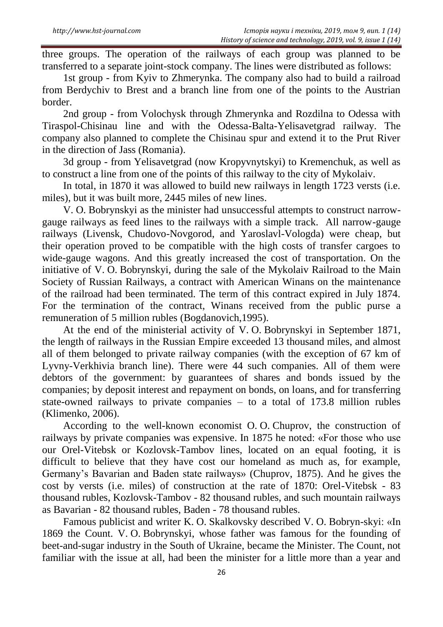three groups. The operation of the railways of each group was planned to be transferred to a separate joint-stock company. The lines were distributed as follows:

1st group - from Kyiv to Zhmerynka. The company also had to build a railroad from Berdychiv to Brest and a branch line from one of the points to the Austrian border.

2nd group - from Volochysk through Zhmerynka and Rozdilna to Odessa with Tiraspol-Chisinau line and with the Odessa-Balta-Yelisavetgrad railway. The company also planned to complete the Chisinau spur and extend it to the Prut River in the direction of Jass (Romania).

3d group - from Yelisavetgrad (now Kropyvnytskyi) to Kremenchuk, as well as to construct a line from one of the points of this railway to the city of Mykolaiv.

In total, in 1870 it was allowed to build new railways in length 1723 versts (i.e. miles), but it was built more, 2445 miles of new lines.

V. O. Bobrynskyi as the minister had unsuccessful attempts to construct narrowgauge railways as feed lines to the railways with a simple track. All narrow-gauge railways (Livensk, Chudovo-Novgorod, and Yaroslavl-Vologda) were cheap, but their operation proved to be compatible with the high costs of transfer cargoes to wide-gauge wagons. And this greatly increased the cost of transportation. On the initiative of V. O. Bobrynskyi, during the sale of the Mykolaiv Railroad to the Main Society of Russian Railways, a contract with American Winans on the maintenance of the railroad had been terminated. The term of this contract expired in July 1874. For the termination of the contract, Winans received from the public purse a remuneration of 5 million rubles (Bogdanovich,1995).

At the end of the ministerial activity of V. O. Bobrynskyi in September 1871, the length of railways in the Russian Empire exceeded 13 thousand miles, and almost all of them belonged to private railway companies (with the exception of 67 km of Lyvny-Verkhivia branch line). There were 44 such companies. All of them were debtors of the government: by guarantees of shares and bonds issued by the companies; by deposit interest and repayment on bonds, on loans, and for transferring state-owned railways to private companies – to a total of 173.8 million rubles (Klimenko, 2006).

According to the well-known economist O. O. Chuprov, the construction of railways by private companies was expensive. In 1875 he noted: «For those who use our Orel-Vitebsk or Kozlovsk-Tambov lines, located on an equal footing, it is difficult to believe that they have cost our homeland as much as, for example, Germany"s Bavarian and Baden state railways» (Chuprov, 1875). And he gives the cost by versts (i.e. miles) of construction at the rate of 1870: Orel-Vitebsk - 83 thousand rubles, Kozlovsk-Tambov - 82 thousand rubles, and such mountain railways as Bavarian - 82 thousand rubles, Baden - 78 thousand rubles.

Famous publicist and writer K. O. Skalkovsky described V. O. Bobryn-skyi: «In 1869 the Count. V. O. Bobrynskyi, whose father was famous for the founding of beet-and-sugar industry in the South of Ukraine, became the Minister. The Count, not familiar with the issue at all, had been the minister for a little more than a year and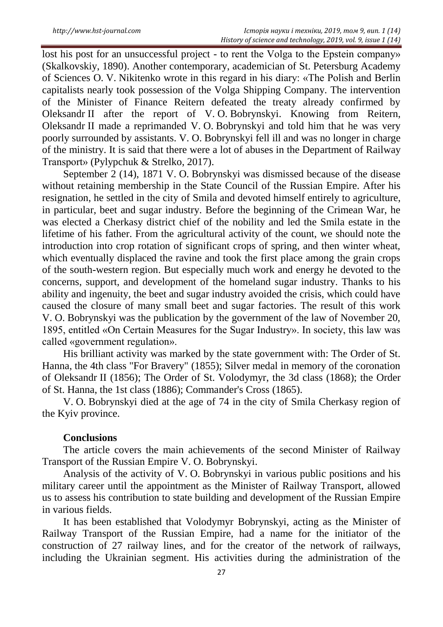lost his post for an unsuccessful project - to rent the Volga to the Epstein company» (Skalkovskiy, 1890). Another contemporary, academician of St. Petersburg Academy of Sciences O. V. Nikitenko wrote in this regard in his diary: «The Polish and Berlin capitalists nearly took possession of the Volga Shipping Company. The intervention of the Minister of Finance Reitern defeated the treaty already confirmed by Oleksandr II after the report of V. O. Bobrynskyi. Knowing from Reitern, Oleksandr II made a reprimanded V. O. Bobrynskyi and told him that he was very poorly surrounded by assistants. V. O. Bobrynskyi fell ill and was no longer in charge of the ministry. It is said that there were a lot of abuses in the Department of Railway Transport» (Pylypchuk & Strelko, 2017).

September 2 (14), 1871 V. O. Bobrynskyi was dismissed because of the disease without retaining membership in the State Council of the Russian Empire. After his resignation, he settled in the city of Smila and devoted himself entirely to agriculture, in particular, beet and sugar industry. Before the beginning of the Crimean War, he was elected a Cherkasy district chief of the nobility and led the Smila estate in the lifetime of his father. From the agricultural activity of the count, we should note the introduction into crop rotation of significant crops of spring, and then winter wheat, which eventually displaced the ravine and took the first place among the grain crops of the south-western region. But especially much work and energy he devoted to the concerns, support, and development of the homeland sugar industry. Thanks to his ability and ingenuity, the beet and sugar industry avoided the crisis, which could have caused the closure of many small beet and sugar factories. The result of this work V. O. Bobrynskyi was the publication by the government of the law of November 20, 1895, entitled «On Certain Measures for the Sugar Industry». In society, this law was called «government regulation».

His brilliant activity was marked by the state government with: The Order of St. Hanna, the 4th class "For Bravery" (1855); Silver medal in memory of the coronation of Oleksandr II (1856); The Order of St. Volodymyr, the 3d class (1868); the Order of St. Hanna, the 1st class (1886); Commander's Cross (1865).

V. O. Bobrynskyi died at the age of 74 in the city of Smila Cherkasy region of the Kyiv province.

#### **Conclusions**

The article covers the main achievements of the second Minister of Railway Transport of the Russian Empire V. O. Bobrynskyi.

Analysis of the activity of V. O. Bobrynskyi in various public positions and his military career until the appointment as the Minister of Railway Transport, allowed us to assess his contribution to state building and development of the Russian Empire in various fields.

It has been established that Volodymyr Bobrynskyi, acting as the Minister of Railway Transport of the Russian Empire, had a name for the initiator of the construction of 27 railway lines, and for the creator of the network of railways, including the Ukrainian segment. His activities during the administration of the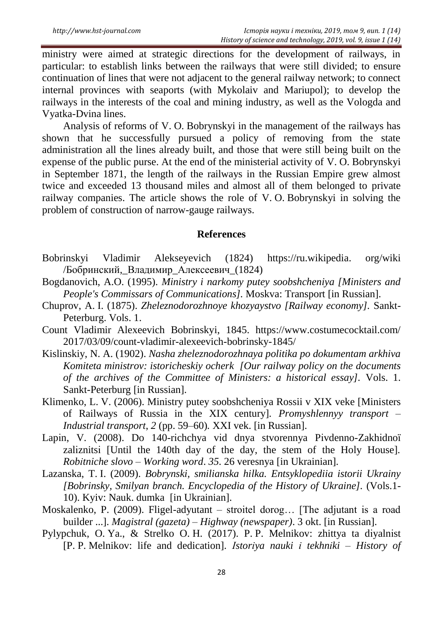ministry were aimed at strategic directions for the development of railways, in particular: to establish links between the railways that were still divided; to ensure continuation of lines that were not adjacent to the general railway network; to connect internal provinces with seaports (with Mykolaiv and Mariupol); to develop the railways in the interests of the coal and mining industry, as well as the Vologda and Vyatka-Dvina lines.

Analysis of reforms of V. O. Bobrynskyi in the management of the railways has shown that he successfully pursued a policy of removing from the state administration all the lines already built, and those that were still being built on the expense of the public purse. At the end of the ministerial activity of V. O. Bobrynskyi in September 1871, the length of the railways in the Russian Empire grew almost twice and exceeded 13 thousand miles and almost all of them belonged to private railway companies. The article shows the role of V. O. Bobrynskyi in solving the problem of construction of narrow-gauge railways.

#### **References**

- Bobrinskyi Vladimir Alekseyevich (1824) https://ru.wikipedia. org/wiki /Бобринский,\_Владимир\_Алексеевич\_(1824)
- Bogdanovich, A.O. (1995). *Ministry i narkomy putey soobshcheniya [Ministers and People's Commissars of Communications].* Moskva: Transport [in Russian].
- Chuprov, A. I. (1875). *Zheleznodorozhnoye khozyaystvo [Railway economy].* Sankt-Peterburg. Vols. 1.
- Count Vladimir Alexeevich Bobrinskyi, 1845. https://www.costumecocktail.com/ 2017/03/09/count-vladimir-alexeevich-bobrinsky-1845/
- Kislinskiy, N. A. (1902). *Nasha zheleznodorozhnaya politika po dokumentam arkhiva Komiteta ministrov: istoricheskiy ocherk [Our railway policy on the documents of the archives of the Committee of Ministers: a historical essay].* Vols. 1. Sankt-Peterburg [in Russian].
- Klimenko, L. V. (2006). Ministry putey soobshcheniya Rossii v XIX veke [Ministers of Railways of Russia in the XIX century]. *Promyshlennyy transport – Industrial transport*, *2* (pp. 59–60)*.* XXI vek. [in Russian].
- Lapіn, V. (2008). Do 140-rіchchya vіd dnya stvorennya Pіvdenno-Zakhіdnoї zalіznitsі [Until the 140th day of the day, the stem of the Holy House]. *Robіtniche slovo – Working word*. *35.* 26 veresnya [in Ukrainian].
- Lazanska, T. I. (2009). *Bobrynski, smilianska hilka. Entsyklopediia istorii Ukrainy [Bobrinsky, Smilyan branch. Encyclopedia of the History of Ukraine].* (Vols.1- 10). Kyiv: Nauk. dumka [in Ukrainian].
- Moskalenko, P. (2009). Fligel-adyutant stroitel dorog… [The adjutant is a road builder ...]. *Magistral (gazeta) – Highway (newspaper)*. 3 okt. [in Russian].
- Pylypchuk, O. Ya., & Strelko O. H. (2017). P. P. Melnikov: zhittya ta dіyalnіst [P. P. Melnikov: life and dedication]. *Іstorіya nauki і tekhnіki – History of*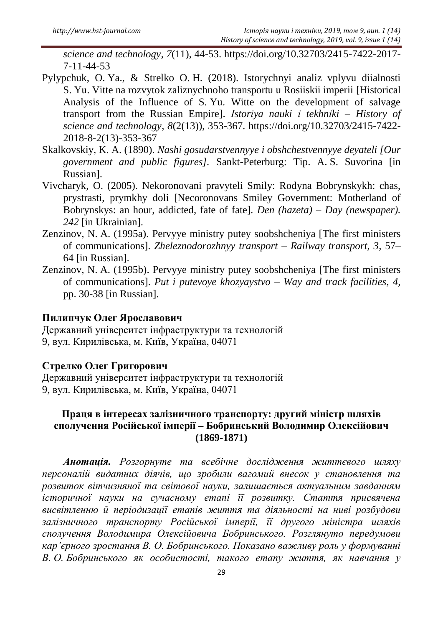*science and technology, 7*(11), 44-53. https://doi.org/10.32703/2415-7422-2017- 7-11-44-53

- Pylypchuk, O. Ya., & Strelko O. H. (2018). Istorychnyi analiz vplyvu diialnosti S. Yu. Vitte na rozvytok zaliznychnoho transportu u Rosiiskii imperii [Historical Analysis of the Influence of S. Yu. Witte on the development of salvage transport from the Russian Empire]. *Іstorіya nauki і tekhnіki – History of science and technology*, *8*(2(13)), 353-367. [https://doi.org/10.32703/2415-7422-](https://doi.org/10.32703/2415-7422-2018-8-2(13)-353-367) [2018-8-2\(13\)-353-367](https://doi.org/10.32703/2415-7422-2018-8-2(13)-353-367)
- Skalkovskiy, K. A. (1890). *Nashi gosudarstvennyye i obshchestvennyye deyateli [Our government and public figures].* Sankt-Peterburg: Tip. A. S. Suvorina [in Russian].
- Vivcharyk, O. (2005). Nekoronovani pravyteli Smily: Rodyna Bobrynskykh: chas, prystrasti, prymkhy doli [Necoronovans Smiley Government: Motherland of Bobrynskys: an hour, addicted, fate of fate]. *Den (hazeta) – Day (newspaper). 242* [in Ukrainian].
- Zenzinov, N. A. (1995a). Pervyye ministry putey soobshcheniya [The first ministers of communications]. *Zheleznodorozhnyy transport – Railway transport, 3,* 57– 64 [in Russian].
- Zenzinov, N. A. (1995b). Pervyye ministry putey soobshcheniya [The first ministers of communications]. *Put i putevoye khozyaystvo – Way and track facilities*, *4,* pp. 30-38 [in Russian].

### **Пилипчук Олег Ярославович**

Державний університет інфраструктури та технологій 9, вул. Кирилівська, м. Київ, Україна, 04071

## **Стрелко Олег Григорович**

Державний університет інфраструктури та технологій 9, вул. Кирилівська, м. Київ, Україна, 04071

## **Праця в інтересах залізничного транспорту: другий міністр шляхів сполучення Російської імперії – Бобринський Володимир Олексійович (1869-1871)**

*Анотація. Розгорнуте та всебічне дослідження життєвого шляху персоналій видатних діячів, що зробили вагомий внесок у становлення та розвиток вітчизняної та світової науки, залишається актуальним завданням історичної науки на сучасному етапі її розвитку. Стаття присвячена висвітленню й періодизації етапів життя та діяльності на ниві розбудови залізничного транспорту Російської імперії, її другого міністра шляхів сполучення Володимира Олексійовича Бобринського. Розглянуто передумови кар'єрного зростання В. О. Бобринського. Показано важливу роль у формуванні В. О. Бобринського як особистості, такого етапу життя, як навчання у*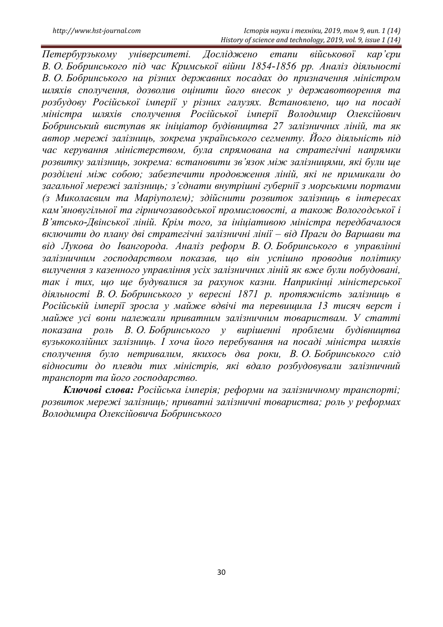*Петербурзькому університеті. Досліджено етапи військової кар'єри В. О. Бобринського під час Кримської війни 1854-1856 рр. Аналіз діяльності В. О. Бобринського на різних державних посадах до призначення міністром шляхів сполучення, дозволив оцінити його внесок у державотворення та розбудову Російської імперії у різних галузях. Встановлено, що на посаді міністра шляхів сполучення Російської імперії Володимир Олексійович Бобринський виступав як ініціатор будівництва 27 залізничних ліній, та як автор мережі залізниць, зокрема українського сегменту. Його діяльність під час керування міністерством, була спрямована на стратегічні напрямки розвитку залізниць, зокрема: встановити зв'язок між залізницями, які були ще розділені між собою; забезпечити продовження ліній, які не примикали до загальної мережі залізниць; з'єднати внутрішні губернії з морськими портами (з Миколаєвим та Маріуполем); здійснити розвиток залізниць в інтересах кам'яновугільної та гірничозаводської промисловості, а також Вологодської і В'ятсько-Двінської ліній. Крім того, за ініціативою міністра передбачалося включити до плану дві стратегічні залізничні лінії – від Праги до Варшави та від Лукова до Івангорода. Аналіз реформ В. О. Бобринського в управлінні залізничним господарством показав, що він успішно проводив політику вилучення з казенного управління усіх залізничних ліній як вже були побудовані, так і тих, що ще будувалися за рахунок казни. Наприкінці міністерської діяльності В. О. Бобринського у вересні 1871 р. протяжність залізниць в*  Російській імперії зросла у майже вдвічі та перевищила 13 тисяч верст і *майже усі вони належали приватним залізничним товариствам. У статті показана роль В. О. Бобринського у вирішенні проблеми будівництва вузькоколійних залізниць. І хоча його перебування на посаді міністра шляхів сполучення було нетривалим, якихось два роки, В. О. Бобринського слід відносити до плеяди тих міністрів, які вдало розбудовували залізничний транспорт та його господарство.*

*Ключові слова: Російська імперія; реформи на залізничному транспорті; розвиток мережі залізниць; приватні залізничні товариства; роль у реформах Володимира Олексійовича Бобринського*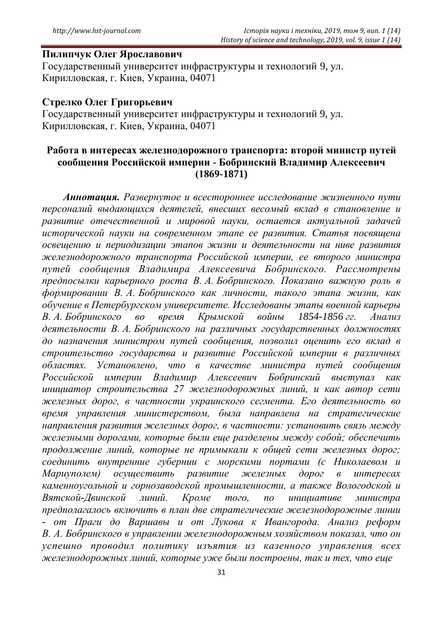### **Пилипчук Олег Ярославович**

Государственный университет инфраструктуры и технологий 9, ул. Кирилловская, г. Киев, Украина, 04071

#### **Стрелко Олег Григорьевич**

Государственный университет инфраструктуры и технологий 9, ул. Кирилловская, г. Киев, Украина, 04071

### **Работа в интересах железнодорожного транспорта: второй министр путей сообщения Российской империи - Бобринский Владимир Алексеевич (1869-1871)**

*Аннотация. Развернутое и всестороннее исследование жизненного пути персоналий выдающихся деятелей, внесших весомый вклад в становление и развитие отечественной и мировой науки, остается актуальной задачей исторической науки на современном этапе ее развития. Статья посвящена освещению и периодизации этапов жизни и деятельности на ниве развития железнодорожного транспорта Российской империи, ее второго министра путей сообщения Владимира Алексеевича Бобринского. Рассмотрены предпосылки карьерного роста В. А. Бобринского. Показано важную роль в формировании В. А. Бобринского как личности, такого этапа жизни, как обучение в Петербургском университете. Исследованы этапы военной карьеры В. А. Бобринского во время Крымской войны 1854-1856 гг. Анализ деятельности В. А. Бобринского на различных государственных должностях до назначения министром путей сообщения, позволил оценить его вклад в строительство государства и развитие Российской империи в различных областях. Установлено, что в качестве министра путей сообщения Российской империи Владимир Алексеевич Бобринский выступал как инициатор строительства 27 железнодорожных линий, и как автор сети железных дорог, в частности украинского сегмента. Его деятельность во время управления министерством, была направлена на стратегические направления развития железных дорог, в частности: установить связь между железными дорогами, которые были еще разделены между собой; обеспечить продолжение линий, которые не примыкали к общей сети железных дорог; соединить внутренние губернии с морскими портами (с Николаевом и Мариуполем) осуществить развитие железных дорог в интересах каменноугольной и горнозаводской промышленности, а также Вологодской и Вятской-Двинской линий. Кроме того, по инициативе министра предполагалось включить в план две стратегические железнодорожные линии - от Праги до Варшавы и от Лукова к Ивангорода. Анализ реформ В. А. Бобринского в управлении железнодорожным хозяйством показал, что он успешно проводил политику изъятия из казенного управления всех железнодорожных линий, которые уже были построены, так и тех, что еще*